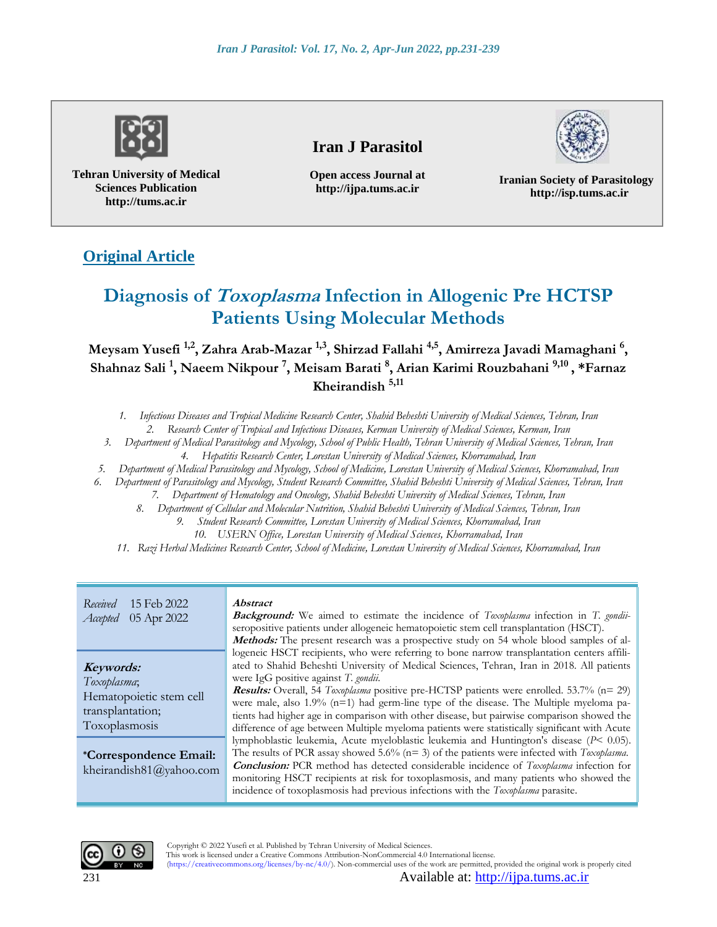

**Tehran University of Medical Sciences Publication http://tums.ac.ir**

# **Iran J Parasitol**

**Open access Journal at http://ijpa.tums.ac.ir**



**Iranian Society of Parasitology http://isp.tums.ac.ir**

# **Original Article**

# **Diagnosis of Toxoplasma Infection in Allogenic Pre HCTSP Patients Using Molecular Methods**

**Meysam Yusefi 1,2, Zahra Arab-Mazar 1,3, Shirzad Fallahi 4,5, Amirreza Javadi Mamaghani <sup>6</sup> , Shahnaz Sali <sup>1</sup> , Naeem Nikpour <sup>7</sup> , Meisam Barati <sup>8</sup> , Arian Karimi Rouzbahani 9,10 , \*Farnaz Kheirandish 5,11**

*1. Infectious Diseases and Tropical Medicine Research Center, Shahid Beheshti University of Medical Sciences, Tehran, Iran*

*2. Research Center of Tropical and Infectious Diseases, Kerman University of Medical Sciences, Kerman, Iran*

*3. Department of Medical Parasitology and Mycology, School of Public Health, Tehran University of Medical Sciences, Tehran, Iran 4. Hepatitis Research Center, Lorestan University of Medical Sciences, Khorramabad, Iran*

*5. Department of Medical Parasitology and Mycology, School of Medicine, Lorestan University of Medical Sciences, Khorramabad, Iran*

*6. Department of Parasitology and Mycology, Student Research Committee, Shahid Beheshti University of Medical Sciences, Tehran, Iran*

- *7. Department of Hematology and Oncology, Shahid Beheshti University of Medical Sciences, Tehran, Iran*
- *8. Department of Cellular and Molecular Nutrition, Shahid Beheshti University of Medical Sciences, Tehran, Iran*
	- *9. Student Research Committee, Lorestan University of Medical Sciences, Khorramabad, Iran*
		- *10. USERN Office, Lorestan University of Medical Sciences, Khorramabad, Iran*
- *11. Razi Herbal Medicines Research Center, School of Medicine, Lorestan University of Medical Sciences, Khorramabad, Iran*

*Received* 15 Feb 2022 *Accepted* 05 Apr 2022

#### **Keywords:**

*Toxoplasma*; Hematopoietic stem cell transplantation; Toxoplasmosis

**\*Correspondence Email:** kheirandish81@yahoo.com

#### **Abstract**

**Background:** We aimed to estimate the incidence of *Toxoplasma* infection in *T. gondii*seropositive patients under allogeneic hematopoietic stem cell transplantation (HSCT). **Methods:** The present research was a prospective study on 54 whole blood samples of allogeneic HSCT recipients, who were referring to bone narrow transplantation centers affiliated to Shahid Beheshti University of Medical Sciences, Tehran, Iran in 2018. All patients were IgG positive against *T. gondii*. **Results:** Overall, 54 *Toxoplasma* positive pre-HCTSP patients were enrolled. 53.7% (n= 29) were male, also 1.9% (n=1) had germ-line type of the disease. The Multiple myeloma patients had higher age in comparison with other disease, but pairwise comparison showed the difference of age between Multiple myeloma patients were statistically significant with Acute lymphoblastic leukemia, Acute myeloblastic leukemia and Huntington's disease (*P*< 0.05). The results of PCR assay showed 5.6% (n= 3) of the patients were infected with *Toxoplasma*. **Conclusion:** PCR method has detected considerable incidence of *Toxoplasma* infection for monitoring HSCT recipients at risk for toxoplasmosis, and many patients who showed the incidence of toxoplasmosis had previous infections with the *Toxoplasma* parasite.



Copyright © 2022 Yusefi et al. Published by Tehran University of Medical Sciences.

This work is licensed under a Creative Commons Attribution-NonCommercial 4.0 International license. (https://creativecommons.org/licenses/by-nc/4.0/). Non-commercial uses of the work are permitted, provided the original work is properly cited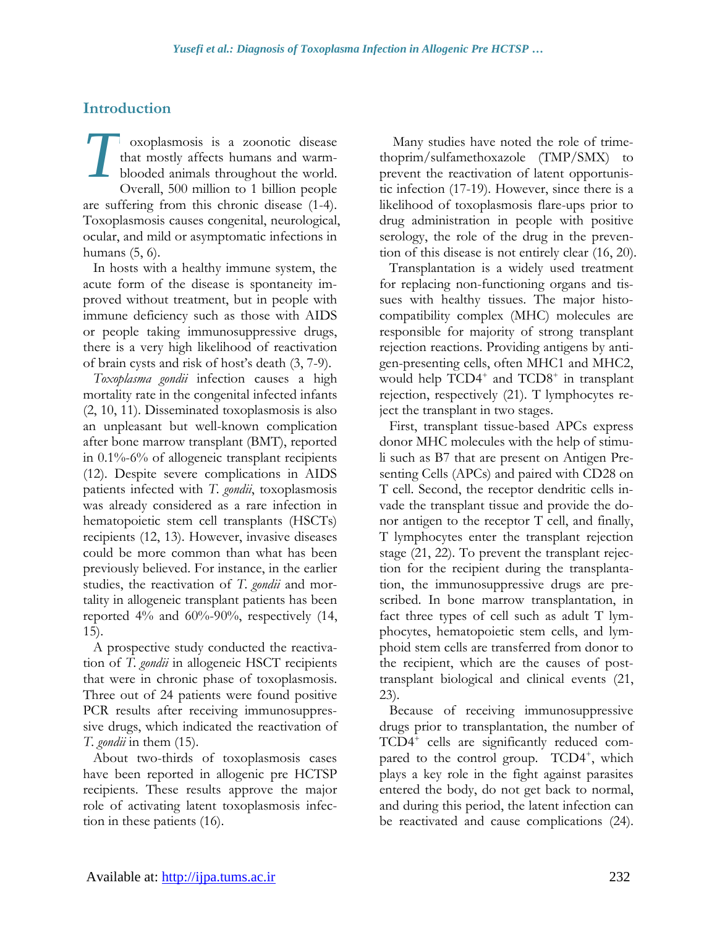# **Introduction**

oxoplasmosis is a zoonotic disease that mostly affects humans and warmblooded animals throughout the world. Overall, 500 million to 1 billion people are suffering from this chronic disease (1-4). Toxoplasmosis causes congenital, neurological, ocular, and mild or asymptomatic infections in humans (5, 6). *T*

In hosts with a healthy immune system, the acute form of the disease is spontaneity improved without treatment, but in people with immune deficiency such as those with AIDS or people taking immunosuppressive drugs, there is a very high likelihood of reactivation of brain cysts and risk of host's death (3, 7-9).

*Toxoplasma gondii* infection causes a high mortality rate in the congenital infected infants (2, 10, 11). Disseminated toxoplasmosis is also an unpleasant but well-known complication after bone marrow transplant (BMT), reported in 0.1%-6% of allogeneic transplant recipients (12). Despite severe complications in AIDS patients infected with *T. gondii*, toxoplasmosis was already considered as a rare infection in hematopoietic stem cell transplants (HSCTs) recipients (12, 13). However, invasive diseases could be more common than what has been previously believed. For instance, in the earlier studies, the reactivation of *T. gondii* and mortality in allogeneic transplant patients has been reported 4% and 60%-90%, respectively (14, 15).

A prospective study conducted the reactivation of *T. gondii* in allogeneic HSCT recipients that were in chronic phase of toxoplasmosis. Three out of 24 patients were found positive PCR results after receiving immunosuppressive drugs, which indicated the reactivation of *T. gondii* in them (15).

About two-thirds of toxoplasmosis cases have been reported in allogenic pre HCTSP recipients. These results approve the major role of activating latent toxoplasmosis infection in these patients (16).

Many studies have noted the role of trimethoprim/sulfamethoxazole (TMP/SMX) to prevent the reactivation of latent opportunistic infection (17-19). However, since there is a likelihood of toxoplasmosis flare-ups prior to drug administration in people with positive serology, the role of the drug in the prevention of this disease is not entirely clear (16, 20).

Transplantation is a widely used treatment for replacing non-functioning organs and tissues with healthy tissues. The major histocompatibility complex (MHC) molecules are responsible for majority of strong transplant rejection reactions. Providing antigens by antigen-presenting cells, often MHC1 and MHC2, would help TCD4<sup>+</sup> and TCD8<sup>+</sup> in transplant rejection, respectively (21). T lymphocytes reject the transplant in two stages.

First, transplant tissue-based APCs express donor MHC molecules with the help of stimuli such as B7 that are present on Antigen Presenting Cells (APCs) and paired with CD28 on T cell. Second, the receptor dendritic cells invade the transplant tissue and provide the donor antigen to the receptor T cell, and finally, T lymphocytes enter the transplant rejection stage (21, 22). To prevent the transplant rejection for the recipient during the transplantation, the immunosuppressive drugs are prescribed. In bone marrow transplantation, in fact three types of cell such as adult T lymphocytes, hematopoietic stem cells, and lymphoid stem cells are transferred from donor to the recipient, which are the causes of posttransplant biological and clinical events (21, 23).

Because of receiving immunosuppressive drugs prior to transplantation, the number of TCD4<sup>+</sup> cells are significantly reduced compared to the control group. TCD4<sup>+</sup>, which plays a key role in the fight against parasites entered the body, do not get back to normal, and during this period, the latent infection can be reactivated and cause complications (24).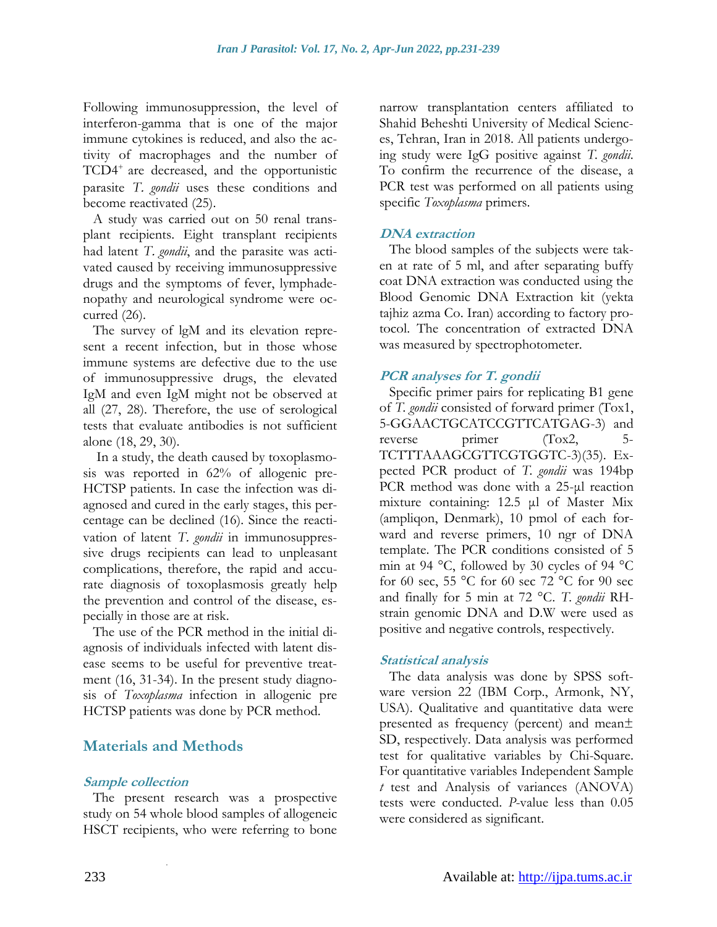Following immunosuppression, the level of interferon-gamma that is one of the major immune cytokines is reduced, and also the activity of macrophages and the number of TCD4<sup>+</sup> are decreased, and the opportunistic parasite *T*. *gondii* uses these conditions and become reactivated (25).

A study was carried out on 50 renal transplant recipients. Eight transplant recipients had latent *T*. *gondii*, and the parasite was activated caused by receiving immunosuppressive drugs and the symptoms of fever, lymphadenopathy and neurological syndrome were occurred (26).

The survey of lgM and its elevation represent a recent infection, but in those whose immune systems are defective due to the use of immunosuppressive drugs, the elevated IgM and even IgM might not be observed at all (27, 28). Therefore, the use of serological tests that evaluate antibodies is not sufficient alone (18, 29, 30).

In a study, the death caused by toxoplasmosis was reported in 62% of allogenic pre-HCTSP patients. In case the infection was diagnosed and cured in the early stages, this percentage can be declined (16). Since the reactivation of latent *T*. *gondii* in immunosuppressive drugs recipients can lead to unpleasant complications, therefore, the rapid and accurate diagnosis of toxoplasmosis greatly help the prevention and control of the disease, especially in those are at risk.

The use of the PCR method in the initial diagnosis of individuals infected with latent disease seems to be useful for preventive treatment (16, 31-34). In the present study diagnosis of *Toxoplasma* infection in allogenic pre HCTSP patients was done by PCR method.

### **Materials and Methods**

.

#### **Sample collection**

The present research was a prospective study on 54 whole blood samples of allogeneic HSCT recipients, who were referring to bone narrow transplantation centers affiliated to Shahid Beheshti University of Medical Sciences, Tehran, Iran in 2018. All patients undergoing study were IgG positive against *T. gondii*. To confirm the recurrence of the disease, a PCR test was performed on all patients using specific *Toxoplasma* primers.

#### **DNA extraction**

The blood samples of the subjects were taken at rate of 5 ml, and after separating buffy coat DNA extraction was conducted using the Blood Genomic DNA Extraction kit (yekta tajhiz azma Co. Iran) according to factory protocol. The concentration of extracted DNA was measured by spectrophotometer.

#### **PCR analyses for T. gondii**

Specific primer pairs for replicating B1 gene of *T. gondii* consisted of forward primer (Tox1, 5-GGAACTGCATCCGTTCATGAG-3) and reverse primer (Tox2, 5-TCTTTAAAGCGTTCGTGGTC-3)(35). Expected PCR product of *T. gondii* was 194bp PCR method was done with a 25-μl reaction mixture containing: 12.5 μl of Master Mix (ampliqon, Denmark), 10 pmol of each forward and reverse primers, 10 ngr of DNA template. The PCR conditions consisted of 5 min at 94 °C, followed by 30 cycles of 94 °C for 60 sec, 55 °C for 60 sec 72 °C for 90 sec and finally for 5 min at 72 °C. *T. gondii* RHstrain genomic DNA and D.W were used as positive and negative controls, respectively.

#### **Statistical analysis**

The data analysis was done by SPSS software version 22 (IBM Corp., Armonk, NY, USA). Qualitative and quantitative data were presented as frequency (percent) and mean± SD, respectively. Data analysis was performed test for qualitative variables by Chi-Square. For quantitative variables Independent Sample *t* test and Analysis of variances (ANOVA) tests were conducted. *P*-value less than 0.05 were considered as significant.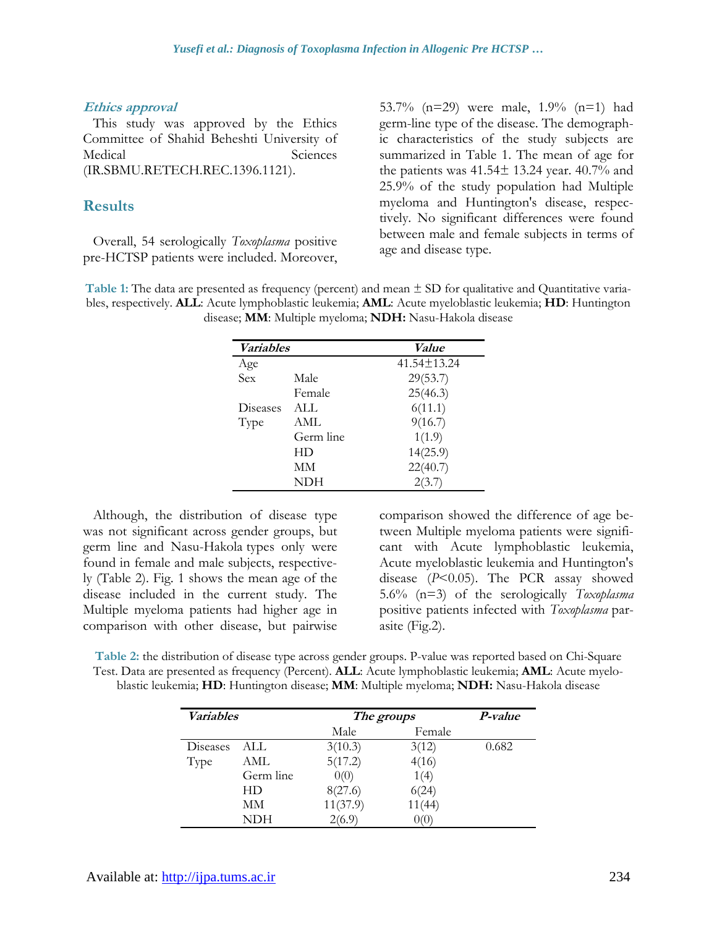#### **Ethics approval**

This study was approved by the Ethics Committee of Shahid Beheshti University of Medical Sciences (IR.SBMU.RETECH.REC.1396.1121).

#### **Results**

Overall, 54 serologically *Toxoplasma* positive pre-HCTSP patients were included. Moreover, 53.7% (n=29) were male, 1.9% (n=1) had germ-line type of the disease. The demographic characteristics of the study subjects are summarized in Table 1. The mean of age for the patients was  $41.54 \pm 13.24$  year.  $40.7\%$  and 25.9% of the study population had Multiple myeloma and Huntington's disease, respectively. No significant differences were found between male and female subjects in terms of age and disease type.

**Table 1:** The data are presented as frequency (percent) and mean ± SD for qualitative and Quantitative variables, respectively. **ALL**: Acute lymphoblastic leukemia; **AML**: Acute myeloblastic leukemia; **HD**: Huntington disease; **MM**: Multiple myeloma; **NDH:** Nasu-Hakola disease

| <i>Variables</i> |           | <i>Value</i>      |  |
|------------------|-----------|-------------------|--|
| Age              |           | $41.54 \pm 13.24$ |  |
| Sex              | Male      | 29(53.7)          |  |
|                  | Female    | 25(46.3)          |  |
| Diseases         | ALL.      | 6(11.1)           |  |
| Type             | AML       | 9(16.7)           |  |
|                  | Germ line | 1(1.9)            |  |
|                  | HD        | 14(25.9)          |  |
|                  | MМ        | 22(40.7)          |  |
|                  | NDH       |                   |  |

Although, the distribution of disease type was not significant across gender groups, but germ line and Nasu-Hakola types only were found in female and male subjects, respectively (Table 2). Fig. 1 shows the mean age of the disease included in the current study. The Multiple myeloma patients had higher age in comparison with other disease, but pairwise comparison showed the difference of age between Multiple myeloma patients were significant with Acute lymphoblastic leukemia, Acute myeloblastic leukemia and Huntington's disease (*P*<0.05). The PCR assay showed 5.6% (n=3) of the serologically *Toxoplasma* positive patients infected with *Toxoplasma* parasite (Fig.2).

**Table 2:** the distribution of disease type across gender groups. P-value was reported based on Chi-Square Test. Data are presented as frequency (Percent). **ALL**: Acute lymphoblastic leukemia; **AML**: Acute myeloblastic leukemia; **HD**: Huntington disease; **MM**: Multiple myeloma; **NDH:** Nasu-Hakola disease

| <i>Variables</i> |           | The groups |        | P-value |
|------------------|-----------|------------|--------|---------|
|                  |           | Male       | Female |         |
| Diseases         | ALL.      | 3(10.3)    | 3(12)  | 0.682   |
| Type             | AML       | 5(17.2)    | 4(16)  |         |
|                  | Germ line | 0(0)       | 1(4)   |         |
|                  | HD        | 8(27.6)    | 6(24)  |         |
|                  | MМ        | 11(37.9)   | 11(44) |         |
|                  | NDH       | 2(6.9)     | 0(0)   |         |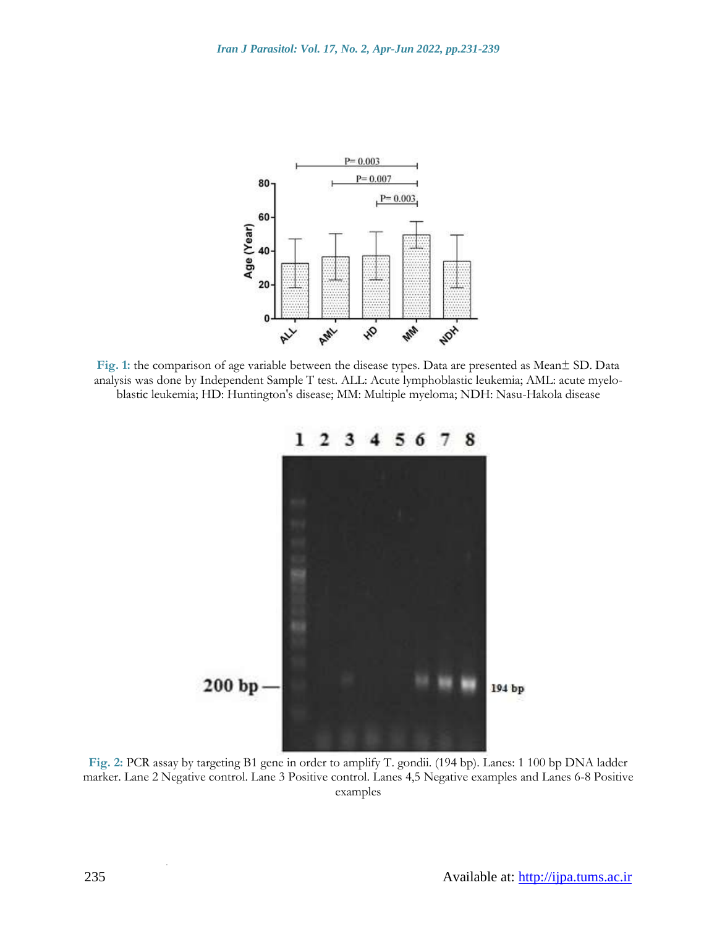

**Fig. 1:** the comparison of age variable between the disease types. Data are presented as Mean± SD. Data analysis was done by Independent Sample T test. ALL: Acute lymphoblastic leukemia; AML: acute myeloblastic leukemia; HD: Huntington's disease; MM: Multiple myeloma; NDH: Nasu-Hakola disease



**Fig. 2:** PCR assay by targeting B1 gene in order to amplify T. gondii. (194 bp). Lanes: 1 100 bp DNA ladder marker. Lane 2 Negative control. Lane 3 Positive control. Lanes 4,5 Negative examples and Lanes 6-8 Positive examples

.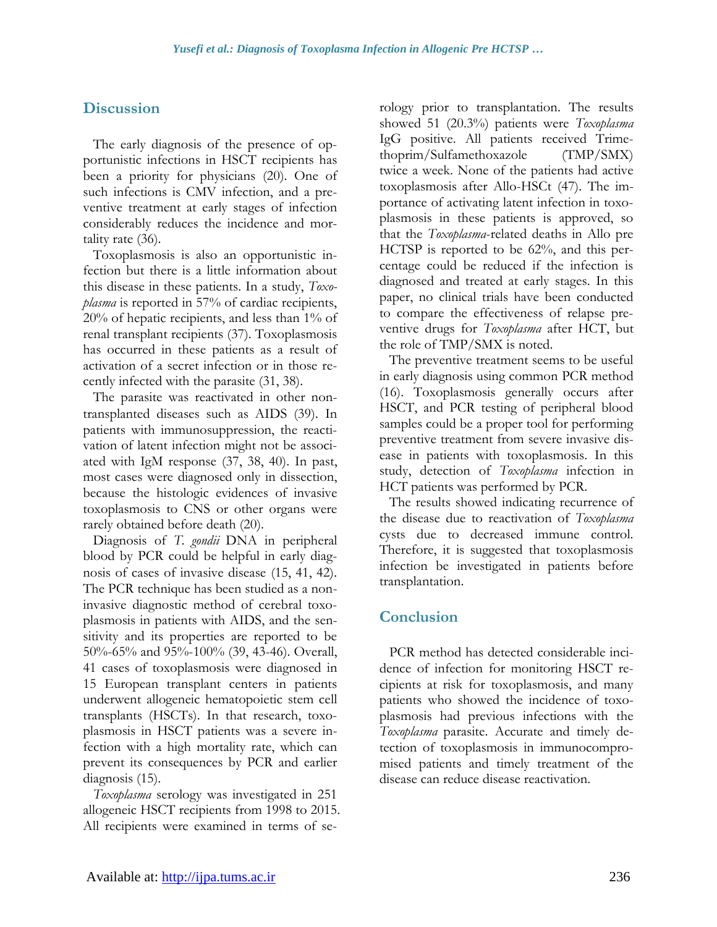# **Discussion**

The early diagnosis of the presence of opportunistic infections in HSCT recipients has been a priority for physicians (20). One of such infections is CMV infection, and a preventive treatment at early stages of infection considerably reduces the incidence and mortality rate (36).

Toxoplasmosis is also an opportunistic infection but there is a little information about this disease in these patients. In a study, *Toxoplasma* is reported in 57% of cardiac recipients, 20% of hepatic recipients, and less than 1% of renal transplant recipients (37). Toxoplasmosis has occurred in these patients as a result of activation of a secret infection or in those recently infected with the parasite (31, 38).

The parasite was reactivated in other nontransplanted diseases such as AIDS (39). In patients with immunosuppression, the reactivation of latent infection might not be associated with IgM response (37, 38, 40). In past, most cases were diagnosed only in dissection, because the histologic evidences of invasive toxoplasmosis to CNS or other organs were rarely obtained before death (20).

Diagnosis of *T. gondii* DNA in peripheral blood by PCR could be helpful in early diagnosis of cases of invasive disease (15, 41, 42). The PCR technique has been studied as a noninvasive diagnostic method of cerebral toxoplasmosis in patients with AIDS, and the sensitivity and its properties are reported to be 50%-65% and 95%-100% (39, 43-46). Overall, 41 cases of toxoplasmosis were diagnosed in 15 European transplant centers in patients underwent allogeneic hematopoietic stem cell transplants (HSCTs). In that research, toxoplasmosis in HSCT patients was a severe infection with a high mortality rate, which can prevent its consequences by PCR and earlier diagnosis (15).

*Toxoplasma* serology was investigated in 251 allogeneic HSCT recipients from 1998 to 2015. All recipients were examined in terms of serology prior to transplantation. The results showed 51 (20.3%) patients were *Toxoplasma* IgG positive. All patients received Trimethoprim/Sulfamethoxazole (TMP/SMX) twice a week. None of the patients had active toxoplasmosis after Allo-HSCt (47). The importance of activating latent infection in toxoplasmosis in these patients is approved, so that the *Toxoplasma*-related deaths in Allo pre HCTSP is reported to be 62%, and this percentage could be reduced if the infection is diagnosed and treated at early stages. In this paper, no clinical trials have been conducted to compare the effectiveness of relapse preventive drugs for *Toxoplasma* after HCT, but the role of TMP/SMX is noted.

The preventive treatment seems to be useful in early diagnosis using common PCR method (16). Toxoplasmosis generally occurs after HSCT, and PCR testing of peripheral blood samples could be a proper tool for performing preventive treatment from severe invasive disease in patients with toxoplasmosis. In this study, detection of *Toxoplasma* infection in HCT patients was performed by PCR.

The results showed indicating recurrence of the disease due to reactivation of *Toxoplasma* cysts due to decreased immune control. Therefore, it is suggested that toxoplasmosis infection be investigated in patients before transplantation.

### **Conclusion**

PCR method has detected considerable incidence of infection for monitoring HSCT recipients at risk for toxoplasmosis, and many patients who showed the incidence of toxoplasmosis had previous infections with the *Toxoplasma* parasite. Accurate and timely detection of toxoplasmosis in immunocompromised patients and timely treatment of the disease can reduce disease reactivation.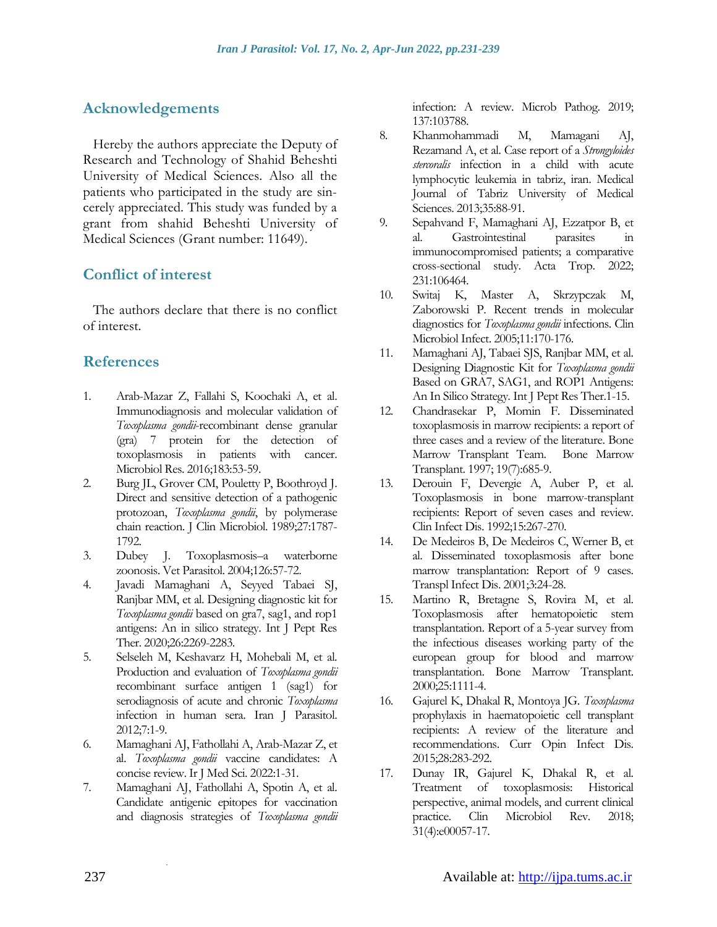### **Acknowledgements**

Hereby the authors appreciate the Deputy of Research and Technology of Shahid Beheshti University of Medical Sciences. Also all the patients who participated in the study are sincerely appreciated. This study was funded by a grant from shahid Beheshti University of Medical Sciences (Grant number: 11649).

### **Conflict of interest**

The authors declare that there is no conflict of interest.

### **References**

- 1. Arab-Mazar Z, Fallahi S, Koochaki A, et al. Immunodiagnosis and molecular validation of *Toxoplasma gondii*-recombinant dense granular (gra) 7 protein for the detection of toxoplasmosis in patients with cancer. Microbiol Res. 2016;183:53-59.
- 2. Burg JL, Grover CM, Pouletty P, Boothroyd J. Direct and sensitive detection of a pathogenic protozoan, *Toxoplasma gondii*, by polymerase chain reaction. J Clin Microbiol. 1989;27:1787- 1792.
- 3. Dubey J. Toxoplasmosis–a waterborne zoonosis. Vet Parasitol. 2004;126:57-72.
- 4. Javadi Mamaghani A, Seyyed Tabaei SJ, Ranjbar MM, et al. Designing diagnostic kit for *Toxoplasma gondii* based on gra7, sag1, and rop1 antigens: An in silico strategy. Int J Pept Res Ther. 2020;26:2269-2283.
- 5. Selseleh M, Keshavarz H, Mohebali M, et al. Production and evaluation of *Toxoplasma gondii* recombinant surface antigen 1 (sag1) for serodiagnosis of acute and chronic *Toxoplasma*  infection in human sera. Iran J Parasitol. 2012;7:1-9.
- 6. Mamaghani AJ, Fathollahi A, Arab-Mazar Z, et al. *Toxoplasma gondii* vaccine candidates: A concise review. Ir J Med Sci. 2022:1-31.
- 7. Mamaghani AJ, Fathollahi A, Spotin A, et al. Candidate antigenic epitopes for vaccination and diagnosis strategies of *Toxoplasma gondii*

.

infection: A review. Microb Pathog. 2019; 137:103788.

- 8. Khanmohammadi M, Mamagani AJ, Rezamand A, et al. Case report of a *Strongyloides stercoralis* infection in a child with acute lymphocytic leukemia in tabriz, iran. Medical Journal of Tabriz University of Medical Sciences. 2013;35:88-91.
- 9. Sepahvand F, Mamaghani AJ, Ezzatpor B, et al. Gastrointestinal parasites in immunocompromised patients; a comparative cross-sectional study. Acta Trop. 2022; 231:106464.
- 10. Switaj K, Master A, Skrzypczak M, Zaborowski P. Recent trends in molecular diagnostics for *Toxoplasma gondii* infections. Clin Microbiol Infect. 2005;11:170-176.
- 11. Mamaghani AJ, Tabaei SJS, Ranjbar MM, et al. Designing Diagnostic Kit for *Toxoplasma gondii* Based on GRA7, SAG1, and ROP1 Antigens: An In Silico Strategy. Int J Pept Res Ther.1-15.
- 12. Chandrasekar P, Momin F. Disseminated toxoplasmosis in marrow recipients: a report of three cases and a review of the literature. Bone Marrow Transplant Team. Bone Marrow Transplant. 1997; 19(7):685-9.
- 13. Derouin F, Devergie A, Auber P, et al. Toxoplasmosis in bone marrow-transplant recipients: Report of seven cases and review. Clin Infect Dis. 1992;15:267-270.
- 14. De Medeiros B, De Medeiros C, Werner B, et al. Disseminated toxoplasmosis after bone marrow transplantation: Report of 9 cases. Transpl Infect Dis. 2001;3:24-28.
- 15. Martino R, Bretagne S, Rovira M, et al. Toxoplasmosis after hematopoietic stem transplantation. Report of a 5-year survey from the infectious diseases working party of the european group for blood and marrow transplantation. Bone Marrow Transplant. 2000;25:1111-4.
- 16. Gajurel K, Dhakal R, Montoya JG. *Toxoplasma* prophylaxis in haematopoietic cell transplant recipients: A review of the literature and recommendations. Curr Opin Infect Dis. 2015;28:283-292.
- 17. Dunay IR, Gajurel K, Dhakal R, et al. Treatment of toxoplasmosis: Historical perspective, animal models, and current clinical practice. Clin Microbiol Rev. 2018; 31(4):e00057-17.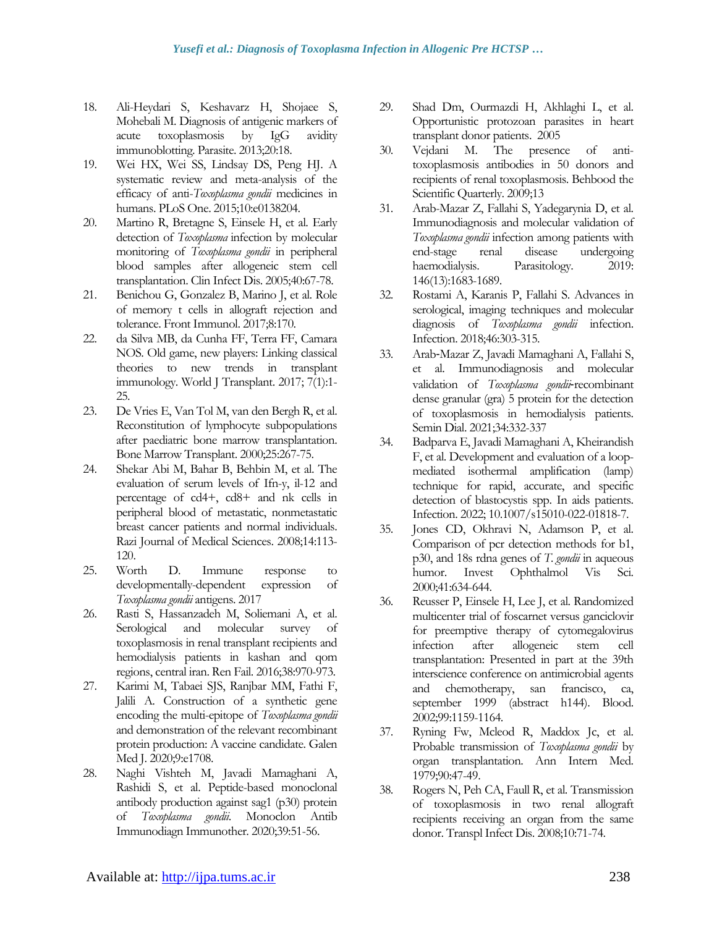- 18. Ali-Heydari S, Keshavarz H, Shojaee S, Mohebali M. Diagnosis of antigenic markers of acute toxoplasmosis by IgG avidity immunoblotting. Parasite. 2013;20:18.
- 19. Wei HX, Wei SS, Lindsay DS, Peng HJ. A systematic review and meta-analysis of the efficacy of anti-*Toxoplasma gondii* medicines in humans. PLoS One. 2015;10:e0138204.
- 20. Martino R, Bretagne S, Einsele H, et al. Early detection of *Toxoplasma* infection by molecular monitoring of *Toxoplasma gondii* in peripheral blood samples after allogeneic stem cell transplantation. Clin Infect Dis. 2005;40:67-78.
- 21. Benichou G, Gonzalez B, Marino J, et al. Role of memory t cells in allograft rejection and tolerance. Front Immunol. 2017;8:170.
- 22. da Silva MB, da Cunha FF, Terra FF, Camara NOS. Old game, new players: Linking classical theories to new trends in transplant immunology. World J Transplant. 2017; 7(1):1- 25.
- 23. De Vries E, Van Tol M, van den Bergh R, et al. Reconstitution of lymphocyte subpopulations after paediatric bone marrow transplantation. Bone Marrow Transplant. 2000;25:267-75.
- 24. Shekar Abi M, Bahar B, Behbin M, et al. The evaluation of serum levels of Ifn-y, il-12 and percentage of cd4+, cd8+ and nk cells in peripheral blood of metastatic, nonmetastatic breast cancer patients and normal individuals. Razi Journal of Medical Sciences. 2008;14:113- 120.
- 25. Worth D. Immune response to developmentally-dependent expression of *Toxoplasma gondii* antigens. 2017
- 26. Rasti S, Hassanzadeh M, Soliemani A, et al. Serological and molecular survey of toxoplasmosis in renal transplant recipients and hemodialysis patients in kashan and qom regions, central iran. Ren Fail. 2016;38:970-973.
- 27. Karimi M, Tabaei SJS, Ranjbar MM, Fathi F, Jalili A. Construction of a synthetic gene encoding the multi-epitope of *Toxoplasma gondii* and demonstration of the relevant recombinant protein production: A vaccine candidate. Galen Med J. 2020;9:e1708.
- 28. Naghi Vishteh M, Javadi Mamaghani A, Rashidi S, et al. Peptide-based monoclonal antibody production against sag1 (p30) protein of *Toxoplasma gondii*. Monoclon Antib Immunodiagn Immunother. 2020;39:51-56.
- 29. Shad Dm, Ourmazdi H, Akhlaghi L, et al. Opportunistic protozoan parasites in heart transplant donor patients. 2005
- 30. Vejdani M. The presence of antitoxoplasmosis antibodies in 50 donors and recipients of renal toxoplasmosis. Behbood the Scientific Quarterly. 2009;13
- 31. Arab-Mazar Z, Fallahi S, Yadegarynia D, et al. Immunodiagnosis and molecular validation of *Toxoplasma gondii* infection among patients with end-stage renal disease undergoing haemodialysis. Parasitology. 2019: 146(13):1683-1689.
- 32. Rostami A, Karanis P, Fallahi S. Advances in serological, imaging techniques and molecular diagnosis of *Toxoplasma gondii* infection. Infection. 2018;46:303-315.
- 33. Arab‐Mazar Z, Javadi Mamaghani A, Fallahi S, et al. Immunodiagnosis and molecular validation of *Toxoplasma gondii*-recombinant dense granular (gra) 5 protein for the detection of toxoplasmosis in hemodialysis patients. Semin Dial. 2021;34:332-337
- 34. Badparva E, Javadi Mamaghani A, Kheirandish F, et al. Development and evaluation of a loopmediated isothermal amplification (lamp) technique for rapid, accurate, and specific detection of blastocystis spp. In aids patients. Infection. 2022; 10.1007/s15010-022-01818-7.
- 35. Jones CD, Okhravi N, Adamson P, et al. Comparison of pcr detection methods for b1, p30, and 18s rdna genes of *T. gondii* in aqueous humor. Invest Ophthalmol Vis Sci. 2000;41:634-644.
- 36. Reusser P, Einsele H, Lee J, et al. Randomized multicenter trial of foscarnet versus ganciclovir for preemptive therapy of cytomegalovirus infection after allogeneic stem cell transplantation: Presented in part at the 39th interscience conference on antimicrobial agents and chemotherapy, san francisco, ca, september 1999 (abstract h144). Blood. 2002;99:1159-1164.
- 37. Ryning Fw, Mcleod R, Maddox Jc, et al. Probable transmission of *Toxoplasma gondii* by organ transplantation. Ann Intern Med. 1979;90:47-49.
- 38. Rogers N, Peh CA, Faull R, et al. Transmission of toxoplasmosis in two renal allograft recipients receiving an organ from the same donor. Transpl Infect Dis. 2008;10:71-74.